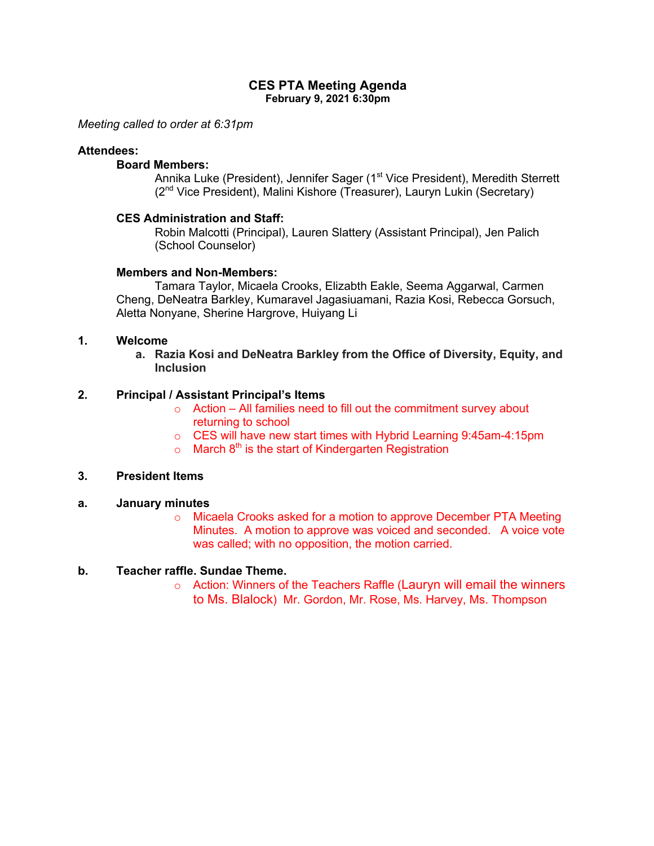### **CES PTA Meeting Agenda February 9, 2021 6:30pm**

*Meeting called to order at 6:31pm*

### **Attendees:**

# **Board Members:**

Annika Luke (President), Jennifer Sager (1<sup>st</sup> Vice President), Meredith Sterrett (2nd Vice President), Malini Kishore (Treasurer), Lauryn Lukin (Secretary)

### **CES Administration and Staff:**

Robin Malcotti (Principal), Lauren Slattery (Assistant Principal), Jen Palich (School Counselor)

### **Members and Non-Members:**

Tamara Taylor, Micaela Crooks, Elizabth Eakle, Seema Aggarwal, Carmen Cheng, DeNeatra Barkley, Kumaravel Jagasiuamani, Razia Kosi, Rebecca Gorsuch, Aletta Nonyane, Sherine Hargrove, Huiyang Li

## **1. Welcome**

**a. Razia Kosi and DeNeatra Barkley from the Office of Diversity, Equity, and Inclusion**

## **2. Principal / Assistant Principal's Items**

- $\circ$  Action All families need to fill out the commitment survey about returning to school
- o CES will have new start times with Hybrid Learning 9:45am-4:15pm
- $\circ$  March 8<sup>th</sup> is the start of Kindergarten Registration

## **3. President Items**

#### **a. January minutes**

o Micaela Crooks asked for a motion to approve December PTA Meeting Minutes. A motion to approve was voiced and seconded. A voice vote was called; with no opposition, the motion carried.

## **b. Teacher raffle. Sundae Theme.**

o Action: Winners of the Teachers Raffle (Lauryn will email the winners to Ms. Blalock) Mr. Gordon, Mr. Rose, Ms. Harvey, Ms. Thompson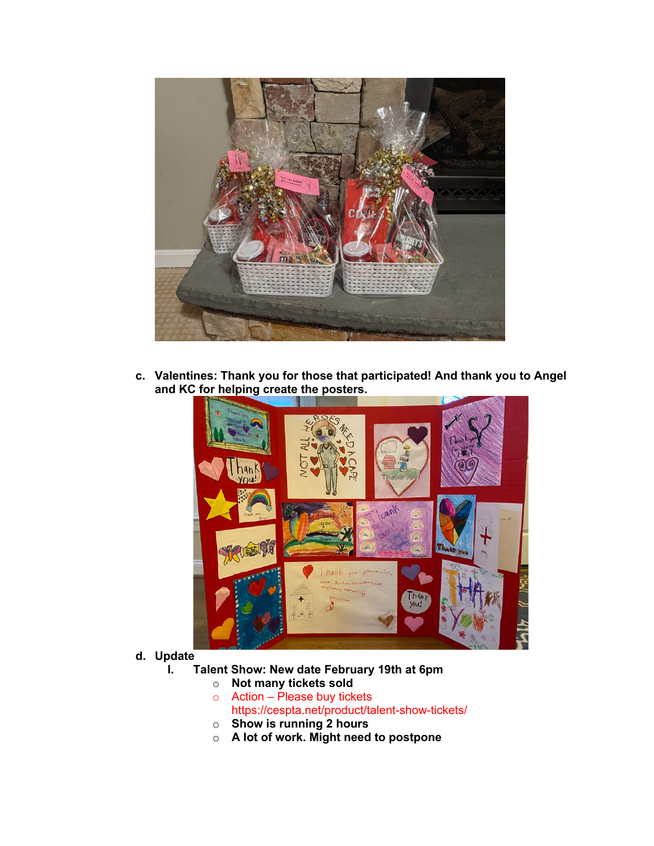

**c. Valentines: Thank you for those that participated! And thank you to Angel and KC for helping create the posters.**



- **d. Update**
	- **I. Talent Show: New date February 19th at 6pm**
		- o **Not many tickets sold**
		- o Action Please buy tickets https://cespta.net/product/talent-show-tickets/
		- o **Show is running 2 hours**
		- o **A lot of work. Might need to postpone**